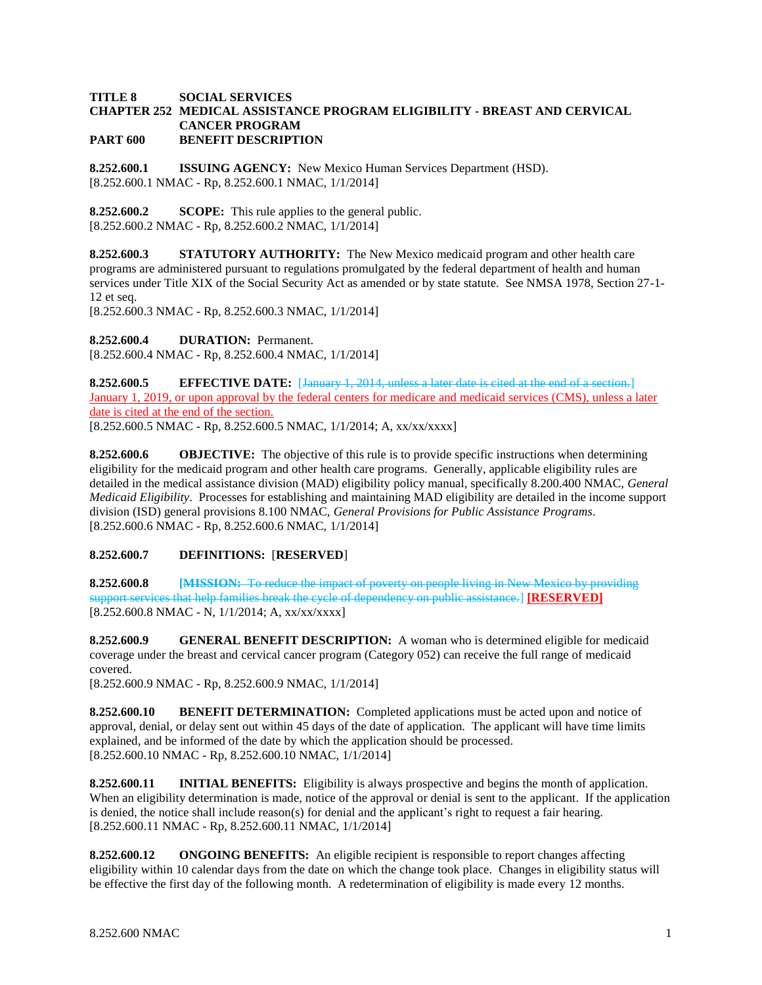## **TITLE 8 SOCIAL SERVICES CHAPTER 252 MEDICAL ASSISTANCE PROGRAM ELIGIBILITY - BREAST AND CERVICAL CANCER PROGRAM PART 600 BENEFIT DESCRIPTION**

**8.252.600.1 ISSUING AGENCY:** New Mexico Human Services Department (HSD). [8.252.600.1 NMAC - Rp, 8.252.600.1 NMAC, 1/1/2014]

**8.252.600.2 SCOPE:** This rule applies to the general public. [8.252.600.2 NMAC - Rp, 8.252.600.2 NMAC, 1/1/2014]

**8.252.600.3 STATUTORY AUTHORITY:** The New Mexico medicaid program and other health care programs are administered pursuant to regulations promulgated by the federal department of health and human services under Title XIX of the Social Security Act as amended or by state statute. See NMSA 1978, Section 27-1- 12 et seq.

[8.252.600.3 NMAC - Rp, 8.252.600.3 NMAC, 1/1/2014]

**8.252.600.4 DURATION:** Permanent.

[8.252.600.4 NMAC - Rp, 8.252.600.4 NMAC, 1/1/2014]

**8.252.600.5 EFFECTIVE DATE:** [January 1, 2014, unless a later date is cited at the end of a section.] January 1, 2019, or upon approval by the federal centers for medicare and medicaid services (CMS), unless a later date is cited at the end of the section.

[8.252.600.5 NMAC - Rp, 8.252.600.5 NMAC, 1/1/2014; A, xx/xx/xxxx]

**8.252.600.6 OBJECTIVE:** The objective of this rule is to provide specific instructions when determining eligibility for the medicaid program and other health care programs. Generally, applicable eligibility rules are detailed in the medical assistance division (MAD) eligibility policy manual, specifically 8.200.400 NMAC, *General Medicaid Eligibility*. Processes for establishing and maintaining MAD eligibility are detailed in the income support division (ISD) general provisions 8.100 NMAC, *General Provisions for Public Assistance Programs*. [8.252.600.6 NMAC - Rp, 8.252.600.6 NMAC, 1/1/2014]

# **8.252.600.7 DEFINITIONS:** [**RESERVED**]

**8.252.600.8 [MISSION:** To reduce the impact of poverty on people living in New Mexico by providing support services that help families break the cycle of dependency on public assistance.] **[RESERVED]** [8.252.600.8 NMAC - N, 1/1/2014; A, xx/xx/xxxx]

**8.252.600.9 GENERAL BENEFIT DESCRIPTION:** A woman who is determined eligible for medicaid coverage under the breast and cervical cancer program (Category 052) can receive the full range of medicaid covered.

[8.252.600.9 NMAC - Rp, 8.252.600.9 NMAC, 1/1/2014]

**8.252.600.10 BENEFIT DETERMINATION:** Completed applications must be acted upon and notice of approval, denial, or delay sent out within 45 days of the date of application. The applicant will have time limits explained, and be informed of the date by which the application should be processed. [8.252.600.10 NMAC - Rp, 8.252.600.10 NMAC, 1/1/2014]

**8.252.600.11 INITIAL BENEFITS:** Eligibility is always prospective and begins the month of application. When an eligibility determination is made, notice of the approval or denial is sent to the applicant. If the application is denied, the notice shall include reason(s) for denial and the applicant's right to request a fair hearing. [8.252.600.11 NMAC - Rp, 8.252.600.11 NMAC, 1/1/2014]

**8.252.600.12 ONGOING BENEFITS:** An eligible recipient is responsible to report changes affecting eligibility within 10 calendar days from the date on which the change took place. Changes in eligibility status will be effective the first day of the following month. A redetermination of eligibility is made every 12 months.